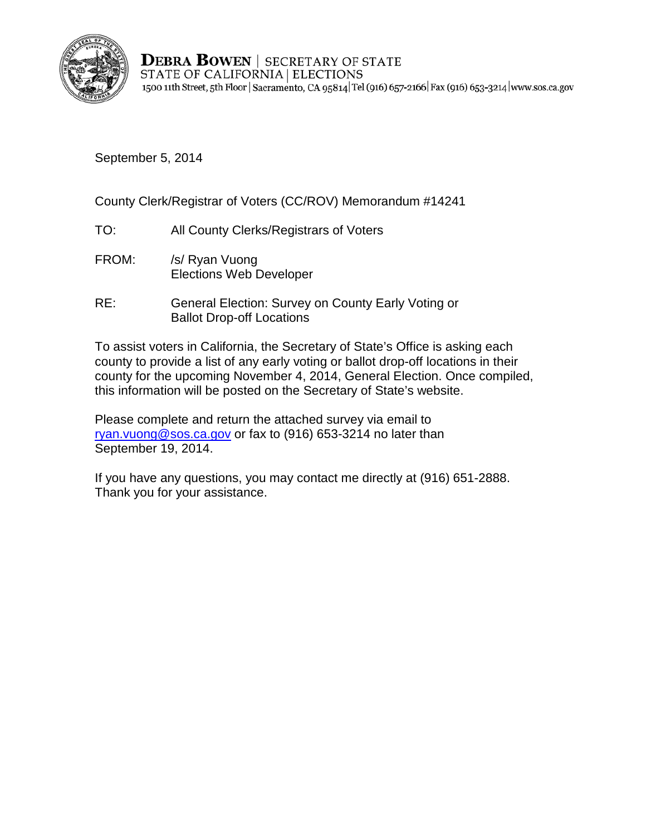

**DEBRA BOWEN | SECRETARY OF STATE** STATE OF CALIFORNIA | ELECTIONS 1500 11th Street, 5th Floor | Sacramento, CA 95814 | Tel (916) 657-2166 | Fax (916) 653-3214 | www.sos.ca.gov

September 5, 2014

County Clerk/Registrar of Voters (CC/ROV) Memorandum #14241

- TO: All County Clerks/Registrars of Voters
- FROM: /s/ Ryan Vuong Elections Web Developer
- RE: General Election: Survey on County Early Voting or Ballot Drop-off Locations

To assist voters in California, the Secretary of State's Office is asking each county to provide a list of any early voting or ballot drop-off locations in their county for the upcoming November 4, 2014, General Election. Once compiled, this information will be posted on the Secretary of State's website.

Please complete and return the attached survey via email to [ryan.vuong@sos.ca.gov](mailto:ryan.vuong@sos.ca.gov) or fax to (916) 653-3214 no later than September 19, 2014.

If you have any questions, you may contact me directly at (916) 651-2888. Thank you for your assistance.